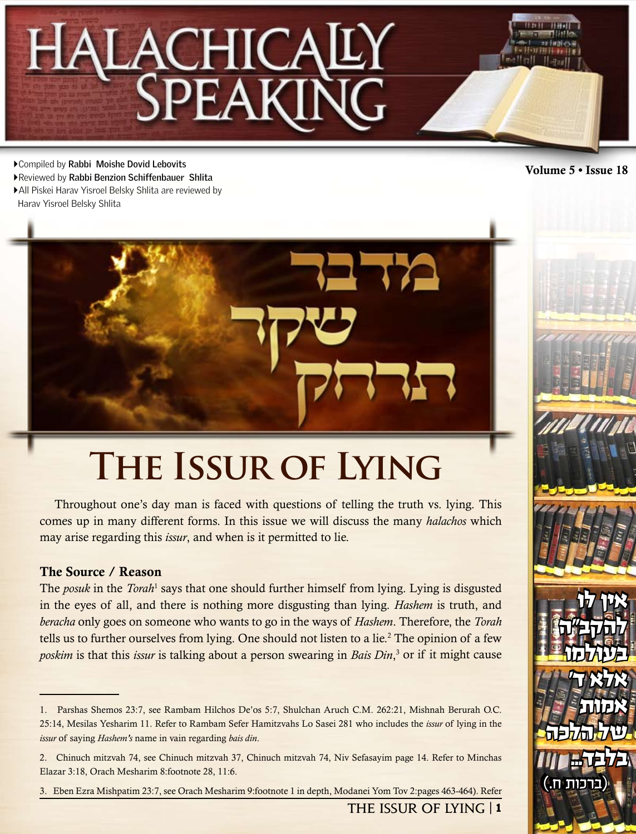# **CHICA**

Volume 5 • Issue 18 Compiled by **Rabbi Moishe Dovid Lebovits**

- Reviewed by **Rabbi Benzion Schiffenbauer Shlita**
- All Piskei Harav Yisroel Belsky Shlita are reviewed by Harav Yisroel Belsky Shlita



# **The Issur of Lying**

Throughout one's day man is faced with questions of telling the truth vs. lying. This comes up in many different forms. In this issue we will discuss the many *halachos* which may arise regarding this *issur*, and when is it permitted to lie.

# The Source / Reason

The *posuk* in the *Torah*<sup>1</sup> says that one should further himself from lying. Lying is disgusted in the eyes of all, and there is nothing more disgusting than lying. *Hashem* is truth, and *beracha* only goes on someone who wants to go in the ways of *Hashem*. Therefore, the *Torah* tells us to further ourselves from lying. One should not listen to a lie.<sup>2</sup> The opinion of a few poskim is that this *issur* is talking about a person swearing in *Bais Din*,<sup>3</sup> or if it might cause

**The Issur of Lying** | 1



אין לו

אין לו

אין לו

אין לו

 $\Phi$   $\in$ 

 $-$  ነን  $\mathbb{R}$ 

בעולמו

להקב"ה

להקביה:

בעולמו

אלא ד'

בעולמו

בעולמו

**WEINDE** 

של הלכה

של הלכה

של הלכה

של הלכה

 $m_{\rm LKF}$ 

 $m$  mate

(ברכות ח.)

אות

 $T$ 

אלא ד'

אמות

אמות

אמות

בלבד...

בלבד...

בלבד...

<sup>1.</sup> Parshas Shemos 23:7, see Rambam Hilchos De'os 5:7, Shulchan Aruch C.M. 262:21, Mishnah Berurah O.C. 25:14, Mesilas Yesharim 11. Refer to Rambam Sefer Hamitzvahs Lo Sasei 281 who includes the *issur* of lying in the *issur* of saying *Hashem's* name in vain regarding *bais din*.

<sup>2.</sup> Chinuch mitzvah 74, see Chinuch mitzvah 37, Chinuch mitzvah 74, Niv Sefasayim page 14. Refer to Minchas Elazar 3:18, Orach Mesharim 8:footnote 28, 11:6.

<sup>3.</sup> Eben Ezra Mishpatim 23:7, see Orach Mesharim 9:footnote 1 in depth, Modanei Yom Tov 2:pages 463-464). Refer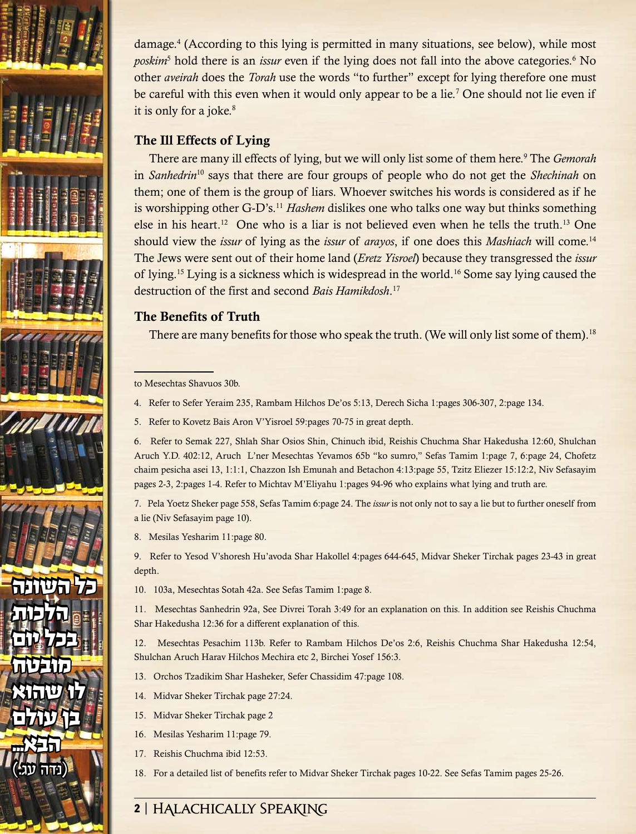

damage.4 (According to this lying is permitted in many situations, see below), while most poskim<sup>5</sup> hold there is an *issur* even if the lying does not fall into the above categories.<sup>6</sup> No other *aveirah* does the *Torah* use the words "to further" except for lying therefore one must be careful with this even when it would only appear to be a lie.<sup>7</sup> One should not lie even if it is only for a joke.<sup>8</sup>

# The Ill Effects of Lying

There are many ill effects of lying, but we will only list some of them here.9 The *Gemorah* in *Sanhedrin*10 says that there are four groups of people who do not get the *Shechinah* on them; one of them is the group of liars. Whoever switches his words is considered as if he is worshipping other G-D's.11 *Hashem* dislikes one who talks one way but thinks something else in his heart.<sup>12</sup> One who is a liar is not believed even when he tells the truth.<sup>13</sup> One should view the *issur* of lying as the *issur* of *arayos*, if one does this *Mashiach* will come.14 The Jews were sent out of their home land (*Eretz Yisroel*) because they transgressed the *issur* of lying.15 Lying is a sickness which is widespread in the world.16 Some say lying caused the destruction of the first and second *Bais Hamikdosh*. 17

# The Benefits of Truth

There are many benefits for those who speak the truth. (We will only list some of them).<sup>18</sup>

to Mesechtas Shavuos 30b.

- 4. Refer to Sefer Yeraim 235, Rambam Hilchos De'os 5:13, Derech Sicha 1:pages 306-307, 2:page 134.
- 5. Refer to Kovetz Bais Aron V'Yisroel 59:pages 70-75 in great depth.

6. Refer to Semak 227, Shlah Shar Osios Shin, Chinuch ibid, Reishis Chuchma Shar Hakedusha 12:60, Shulchan Aruch Y.D. 402:12, Aruch L'ner Mesechtas Yevamos 65b "ko sumro," Sefas Tamim 1:page 7, 6:page 24, Chofetz chaim pesicha asei 13, 1:1:1, Chazzon Ish Emunah and Betachon 4:13:page 55, Tzitz Eliezer 15:12:2, Niv Sefasayim pages 2-3, 2:pages 1-4. Refer to Michtav M'Eliyahu 1:pages 94-96 who explains what lying and truth are.

7. Pela Yoetz Sheker page 558, Sefas Tamim 6:page 24. The *issur* is not only not to say a lie but to further oneself from a lie (Niv Sefasayim page 10).

8. Mesilas Yesharim 11:page 80.

9. Refer to Yesod V'shoresh Hu'avoda Shar Hakollel 4:pages 644-645, Midvar Sheker Tirchak pages 23-43 in great depth.

10. 103a, Mesechtas Sotah 42a. See Sefas Tamim 1:page 8.

11. Mesechtas Sanhedrin 92a, See Divrei Torah 3:49 for an explanation on this. In addition see Reishis Chuchma Shar Hakedusha 12:36 for a different explanation of this.

12. Mesechtas Pesachim 113b. Refer to Rambam Hilchos De'os 2:6, Reishis Chuchma Shar Hakedusha 12:54, Shulchan Aruch Harav Hilchos Mechira etc 2, Birchei Yosef 156:3.

- 13. Orchos Tzadikim Shar Hasheker, Sefer Chassidim 47:page 108.
- 14. Midvar Sheker Tirchak page 27:24.
- 15. Midvar Sheker Tirchak page 2
- 16. Mesilas Yesharim 11:page 79.
- 17. Reishis Chuchma ibid 12:53.
- 18. For a detailed list of benefits refer to Midvar Sheker Tirchak pages 10-22. See Sefas Tamim pages 25-26.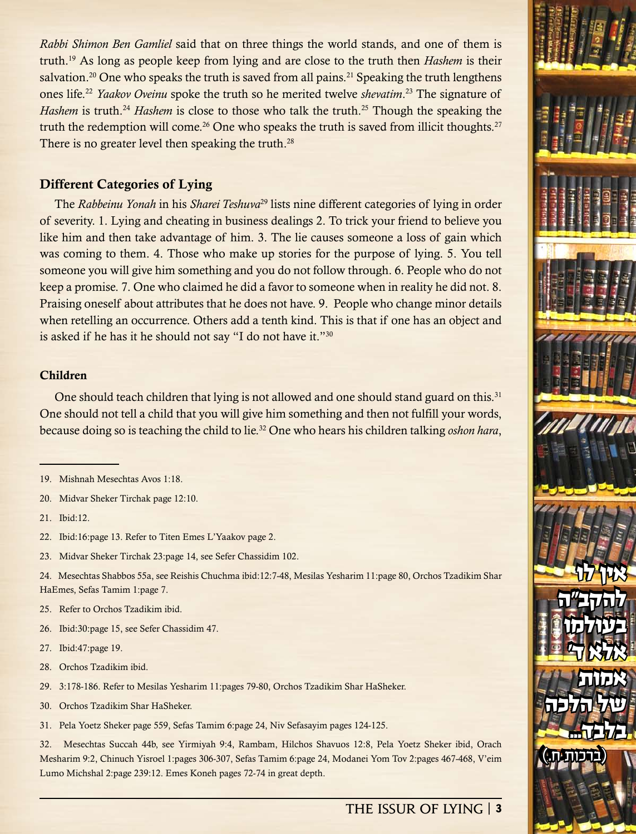*Rabbi Shimon Ben Gamliel* said that on three things the world stands, and one of them is truth.19 As long as people keep from lying and are close to the truth then *Hashem* is their salvation.<sup>20</sup> One who speaks the truth is saved from all pains.<sup>21</sup> Speaking the truth lengthens ones life.22 *Yaakov Oveinu* spoke the truth so he merited twelve *shevatim*. 23 The signature of *Hashem* is truth.<sup>24</sup> *Hashem* is close to those who talk the truth.<sup>25</sup> Though the speaking the truth the redemption will come.<sup>26</sup> One who speaks the truth is saved from illicit thoughts.<sup>27</sup> There is no greater level then speaking the truth.<sup>28</sup>

# Different Categories of Lying

The *Rabbeinu Yonah* in his *Sharei Teshuva*29 lists nine different categories of lying in order of severity. 1. Lying and cheating in business dealings 2. To trick your friend to believe you like him and then take advantage of him. 3. The lie causes someone a loss of gain which was coming to them. 4. Those who make up stories for the purpose of lying. 5. You tell someone you will give him something and you do not follow through. 6. People who do not keep a promise. 7. One who claimed he did a favor to someone when in reality he did not. 8. Praising oneself about attributes that he does not have. 9. People who change minor details when retelling an occurrence. Others add a tenth kind. This is that if one has an object and is asked if he has it he should not say "I do not have it."30

# Children

One should teach children that lying is not allowed and one should stand guard on this.<sup>31</sup> One should not tell a child that you will give him something and then not fulfill your words, because doing so is teaching the child to lie.32 One who hears his children talking *oshon hara*,

20. Midvar Sheker Tirchak page 12:10.

21. Ibid:12.

22. Ibid:16:page 13. Refer to Titen Emes L'Yaakov page 2.

23. Midvar Sheker Tirchak 23:page 14, see Sefer Chassidim 102.

24. Mesechtas Shabbos 55a, see Reishis Chuchma ibid:12:7-48, Mesilas Yesharim 11:page 80, Orchos Tzadikim Shar HaEmes, Sefas Tamim 1:page 7.

- 25. Refer to Orchos Tzadikim ibid.
- 26. Ibid:30:page 15, see Sefer Chassidim 47.
- 27. Ibid:47:page 19.
- 28. Orchos Tzadikim ibid.
- 29. 3:178-186. Refer to Mesilas Yesharim 11:pages 79-80, Orchos Tzadikim Shar HaSheker.
- 30. Orchos Tzadikim Shar HaSheker.
- 31. Pela Yoetz Sheker page 559, Sefas Tamim 6:page 24, Niv Sefasayim pages 124-125.

32. Mesechtas Succah 44b, see Yirmiyah 9:4, Rambam, Hilchos Shavuos 12:8, Pela Yoetz Sheker ibid, Orach Mesharim 9:2, Chinuch Yisroel 1:pages 306-307, Sefas Tamim 6:page 24, Modanei Yom Tov 2:pages 467-468, V'eim Lumo Michshal 2:page 239:12. Emes Koneh pages 72-74 in great depth.

אין לו

אין לו

להקב"ה

להקב"ה

בעולמו

בעולמו

 $T$ 

אלא ד'

של הלכה

של הלכה

 $\textcolor{blue}{\textbf{(}}$ 

)ברכות ח.(

אמות

אמות

בלבד...

<sup>19.</sup> Mishnah Mesechtas Avos 1:18.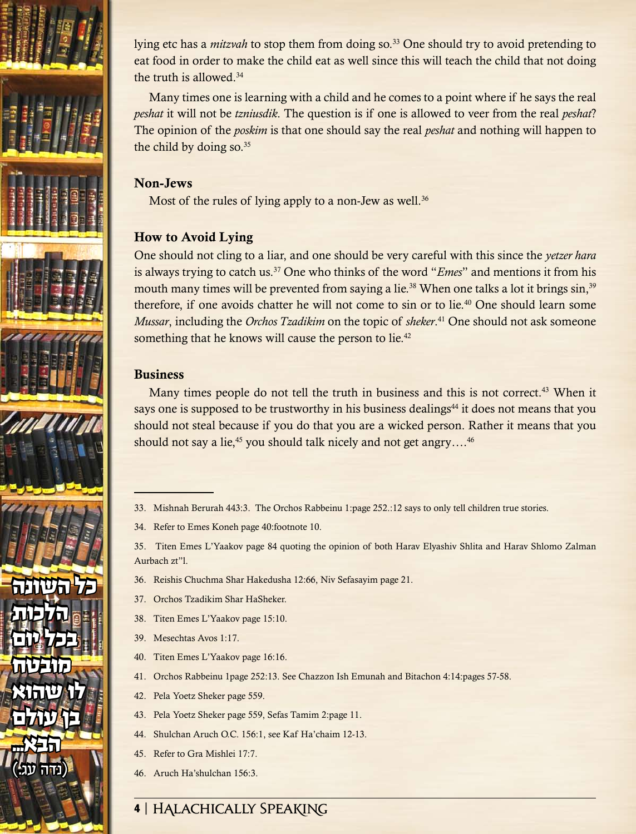

lying etc has a *mitzvah* to stop them from doing so.33 One should try to avoid pretending to eat food in order to make the child eat as well since this will teach the child that not doing the truth is allowed.34

Many times one is learning with a child and he comes to a point where if he says the real *peshat* it will not be *tzniusdik*. The question is if one is allowed to veer from the real *peshat*? The opinion of the *poskim* is that one should say the real *peshat* and nothing will happen to the child by doing so. $35$ 

# Non-Jews

Most of the rules of lying apply to a non-Jew as well.<sup>36</sup>

# How to Avoid Lying

One should not cling to a liar, and one should be very careful with this since the *yetzer hara* is always trying to catch us.37 One who thinks of the word "*Emes*" and mentions it from his mouth many times will be prevented from saying a lie.<sup>38</sup> When one talks a lot it brings sin,<sup>39</sup> therefore, if one avoids chatter he will not come to sin or to lie.<sup>40</sup> One should learn some *Mussar*, including the *Orchos Tzadikim* on the topic of *sheker*. 41 One should not ask someone something that he knows will cause the person to lie.<sup>42</sup>

# Business

Many times people do not tell the truth in business and this is not correct.<sup>43</sup> When it says one is supposed to be trustworthy in his business dealings<sup>44</sup> it does not means that you should not steal because if you do that you are a wicked person. Rather it means that you should not say a lie,<sup>45</sup> you should talk nicely and not get angry....<sup>46</sup>

- 33. Mishnah Berurah 443:3. The Orchos Rabbeinu 1:page 252.:12 says to only tell children true stories.
- 34. Refer to Emes Koneh page 40:footnote 10.

35. Titen Emes L'Yaakov page 84 quoting the opinion of both Harav Elyashiv Shlita and Harav Shlomo Zalman Aurbach zt"l.

- 36. Reishis Chuchma Shar Hakedusha 12:66, Niv Sefasayim page 21.
- 37. Orchos Tzadikim Shar HaSheker.
- 38. Titen Emes L'Yaakov page 15:10.
- 39. Mesechtas Avos 1:17.
- 40. Titen Emes L'Yaakov page 16:16.
- 41. Orchos Rabbeinu 1page 252:13. See Chazzon Ish Emunah and Bitachon 4:14:pages 57-58.
- 42. Pela Yoetz Sheker page 559.
- 43. Pela Yoetz Sheker page 559, Sefas Tamim 2:page 11.
- 44. Shulchan Aruch O.C. 156:1, see Kaf Ha'chaim 12-13.
- 45. Refer to Gra Mishlei 17:7.
- 46. Aruch Ha'shulchan 156:3.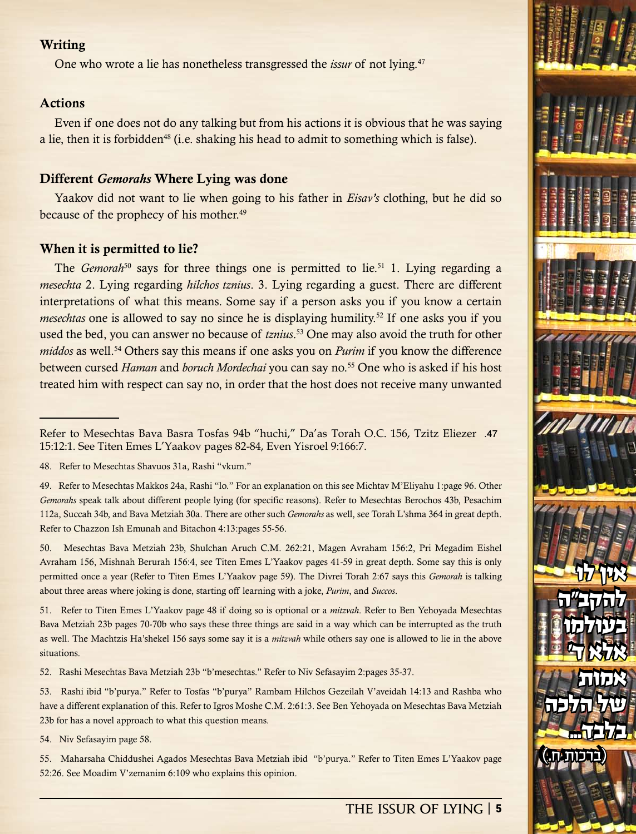## **Writing**

One who wrote a lie has nonetheless transgressed the *issur* of not lying.47

# Actions

Even if one does not do any talking but from his actions it is obvious that he was saying a lie, then it is forbidden<sup>48</sup> (i.e. shaking his head to admit to something which is false).

#### Different *Gemorahs* Where Lying was done

Yaakov did not want to lie when going to his father in *Eisav's* clothing, but he did so because of the prophecy of his mother.<sup>49</sup>

#### When it is permitted to lie?

The *Gemorah*<sup>50</sup> says for three things one is permitted to lie.<sup>51</sup> 1. Lying regarding a *mesechta* 2. Lying regarding *hilchos tznius*. 3. Lying regarding a guest. There are different interpretations of what this means. Some say if a person asks you if you know a certain *mesechtas* one is allowed to say no since he is displaying humility.<sup>52</sup> If one asks you if you used the bed, you can answer no because of *tznius*. 53 One may also avoid the truth for other *middos* as well.54 Others say this means if one asks you on *Purim* if you know the difference between cursed *Haman* and *boruch Mordechai* you can say no.<sup>55</sup> One who is asked if his host treated him with respect can say no, in order that the host does not receive many unwanted

50. Mesechtas Bava Metziah 23b, Shulchan Aruch C.M. 262:21, Magen Avraham 156:2, Pri Megadim Eishel Avraham 156, Mishnah Berurah 156:4, see Titen Emes L'Yaakov pages 41-59 in great depth. Some say this is only permitted once a year (Refer to Titen Emes L'Yaakov page 59). The Divrei Torah 2:67 says this *Gemorah* is talking about three areas where joking is done, starting off learning with a joke, *Purim*, and *Succos*.

51. Refer to Titen Emes L'Yaakov page 48 if doing so is optional or a *mitzvah*. Refer to Ben Yehoyada Mesechtas Bava Metziah 23b pages 70-70b who says these three things are said in a way which can be interrupted as the truth as well. The Machtzis Ha'shekel 156 says some say it is a *mitzvah* while others say one is allowed to lie in the above situations.

52. Rashi Mesechtas Bava Metziah 23b "b'mesechtas." Refer to Niv Sefasayim 2:pages 35-37.

53. Rashi ibid "b'purya." Refer to Tosfas "b'purya" Rambam Hilchos Gezeilah V'aveidah 14:13 and Rashba who have a different explanation of this. Refer to Igros Moshe C.M. 2:61:3. See Ben Yehoyada on Mesechtas Bava Metziah 23b for has a novel approach to what this question means.

54. Niv Sefasayim page 58.

55. Maharsaha Chiddushei Agados Mesechtas Bava Metziah ibid "b'purya." Refer to Titen Emes L'Yaakov page 52:26. See Moadim V'zemanim 6:109 who explains this opinion.



Refer to Mesechtas Bava Basra Tosfas 94b "huchi," Da'as Torah O.C. 156, Tzitz Eliezer .47 15:12:1. See Titen Emes L'Yaakov pages 82-84, Even Yisroel 9:166:7.

<sup>48.</sup> Refer to Mesechtas Shavuos 31a, Rashi "vkum."

<sup>49.</sup> Refer to Mesechtas Makkos 24a, Rashi "lo." For an explanation on this see Michtav M'Eliyahu 1:page 96. Other *Gemorahs* speak talk about different people lying (for specific reasons). Refer to Mesechtas Berochos 43b, Pesachim 112a, Succah 34b, and Bava Metziah 30a. There are other such *Gemorahs* as well, see Torah L'shma 364 in great depth. Refer to Chazzon Ish Emunah and Bitachon 4:13:pages 55-56.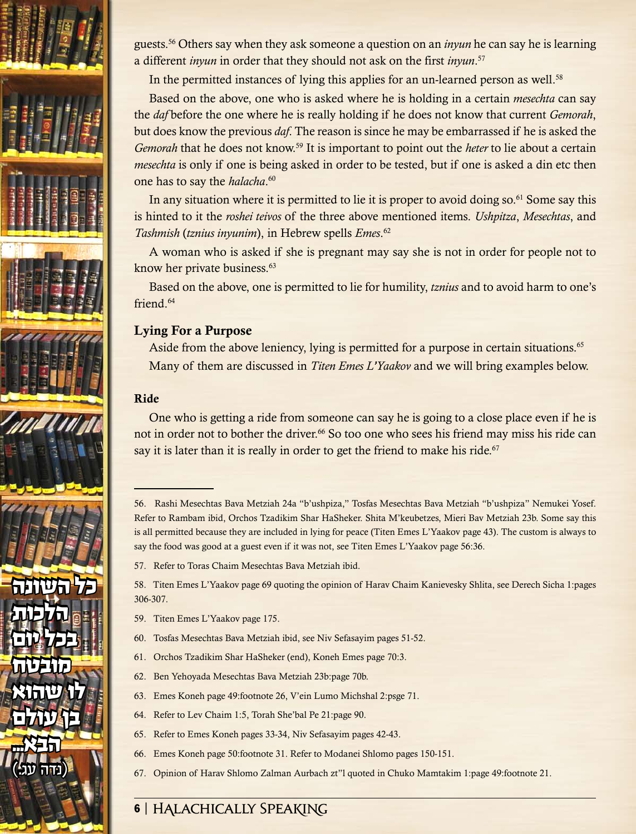

guests.56 Others say when they ask someone a question on an *inyun* he can say he is learning a different *inyun* in order that they should not ask on the first *inyun*. 57

In the permitted instances of lying this applies for an un-learned person as well.<sup>58</sup>

Based on the above, one who is asked where he is holding in a certain *mesechta* can say the *daf* before the one where he is really holding if he does not know that current *Gemorah*, but does know the previous *daf*. The reason is since he may be embarrassed if he is asked the *Gemorah* that he does not know.<sup>59</sup> It is important to point out the *heter* to lie about a certain *mesechta* is only if one is being asked in order to be tested, but if one is asked a din etc then one has to say the *halacha*. 60

In any situation where it is permitted to lie it is proper to avoid doing so.<sup>61</sup> Some say this is hinted to it the *roshei teivos* of the three above mentioned items. *Ushpitza*, *Mesechtas*, and *Tashmish* (*tznius inyunim*), in Hebrew spells *Emes*. 62

A woman who is asked if she is pregnant may say she is not in order for people not to know her private business.<sup>63</sup>

Based on the above, one is permitted to lie for humility, *tznius* and to avoid harm to one's friend.64

# Lying For a Purpose

Aside from the above leniency, lying is permitted for a purpose in certain situations.<sup>65</sup> Many of them are discussed in *Titen Emes L'Yaakov* and we will bring examples below.

# Ride

One who is getting a ride from someone can say he is going to a close place even if he is not in order not to bother the driver.<sup>66</sup> So too one who sees his friend may miss his ride can say it is later than it is really in order to get the friend to make his ride. $67$ 

57. Refer to Toras Chaim Mesechtas Bava Metziah ibid.

58. Titen Emes L'Yaakov page 69 quoting the opinion of Harav Chaim Kanievesky Shlita, see Derech Sicha 1:pages 306-307.

- 59. Titen Emes L'Yaakov page 175.
- 60. Tosfas Mesechtas Bava Metziah ibid, see Niv Sefasayim pages 51-52.
- 61. Orchos Tzadikim Shar HaSheker (end), Koneh Emes page 70:3.
- 62. Ben Yehoyada Mesechtas Bava Metziah 23b:page 70b.
- 63. Emes Koneh page 49:footnote 26, V'ein Lumo Michshal 2:psge 71.
- 64. Refer to Lev Chaim 1:5, Torah She'bal Pe 21:page 90.
- 65. Refer to Emes Koneh pages 33-34, Niv Sefasayim pages 42-43.
- 66. Emes Koneh page 50:footnote 31. Refer to Modanei Shlomo pages 150-151.
- 67. Opinion of Harav Shlomo Zalman Aurbach zt"l quoted in Chuko Mamtakim 1:page 49:footnote 21.

<sup>56.</sup> Rashi Mesechtas Bava Metziah 24a "b'ushpiza," Tosfas Mesechtas Bava Metziah "b'ushpiza" Nemukei Yosef. Refer to Rambam ibid, Orchos Tzadikim Shar HaSheker. Shita M'keubetzes, Mieri Bav Metziah 23b. Some say this is all permitted because they are included in lying for peace (Titen Emes L'Yaakov page 43). The custom is always to say the food was good at a guest even if it was not, see Titen Emes L'Yaakov page 56:36.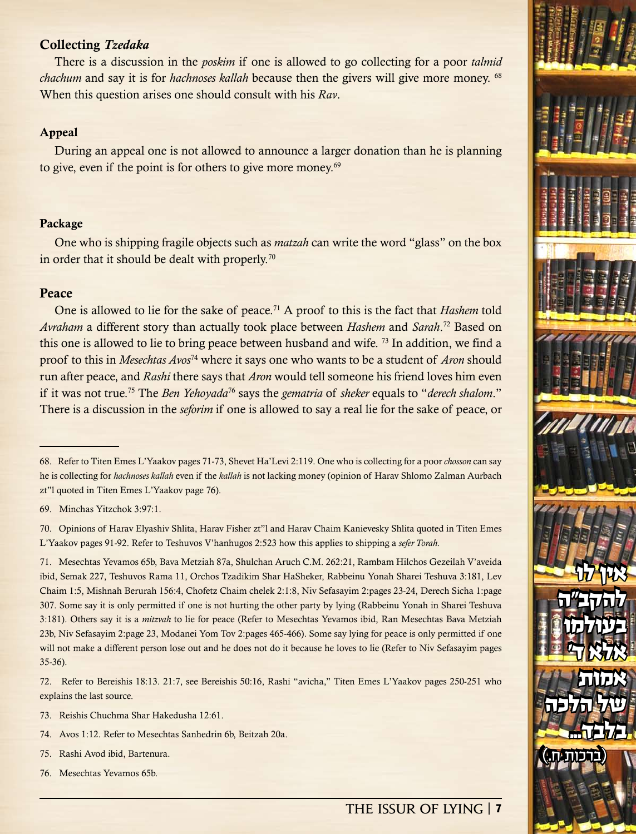#### Collecting *Tzedaka*

There is a discussion in the *poskim* if one is allowed to go collecting for a poor *talmid chachum* and say it is for *hachnoses kallah* because then the givers will give more money. <sup>68</sup> When this question arises one should consult with his *Rav*.

#### Appeal

During an appeal one is not allowed to announce a larger donation than he is planning to give, even if the point is for others to give more money.<sup>69</sup>

#### Package

One who is shipping fragile objects such as *matzah* can write the word "glass" on the box in order that it should be dealt with properly.<sup>70</sup>

#### **Peace**

One is allowed to lie for the sake of peace.<sup>71</sup> A proof to this is the fact that *Hashem* told *Avraham* a different story than actually took place between *Hashem* and *Sarah*. 72 Based on this one is allowed to lie to bring peace between husband and wife. <sup>73</sup> In addition, we find a proof to this in *Mesechtas Avos*74 where it says one who wants to be a student of *Aron* should run after peace, and *Rashi* there says that *Aron* would tell someone his friend loves him even if it was not true.75 The *Ben Yehoyada*76 says the *gematria* of *sheker* equals to "*derech shalom*." There is a discussion in the *seforim* if one is allowed to say a real lie for the sake of peace, or

71. Mesechtas Yevamos 65b, Bava Metziah 87a, Shulchan Aruch C.M. 262:21, Rambam Hilchos Gezeilah V'aveida ibid, Semak 227, Teshuvos Rama 11, Orchos Tzadikim Shar HaSheker, Rabbeinu Yonah Sharei Teshuva 3:181, Lev Chaim 1:5, Mishnah Berurah 156:4, Chofetz Chaim chelek 2:1:8, Niv Sefasayim 2:pages 23-24, Derech Sicha 1:page 307. Some say it is only permitted if one is not hurting the other party by lying (Rabbeinu Yonah in Sharei Teshuva 3:181). Others say it is a *mitzvah* to lie for peace (Refer to Mesechtas Yevamos ibid, Ran Mesechtas Bava Metziah 23b, Niv Sefasayim 2:page 23, Modanei Yom Tov 2:pages 465-466). Some say lying for peace is only permitted if one will not make a different person lose out and he does not do it because he loves to lie (Refer to Niv Sefasayim pages 35-36).

72. Refer to Bereishis 18:13. 21:7, see Bereishis 50:16, Rashi "avicha," Titen Emes L'Yaakov pages 250-251 who explains the last source.

- 73. Reishis Chuchma Shar Hakedusha 12:61.
- 74. Avos 1:12. Refer to Mesechtas Sanhedrin 6b, Beitzah 20a.

75. Rashi Avod ibid, Bartenura.

76. Mesechtas Yevamos 65b.

# **The Issur of Lying** | 7

אין לו

אין לו

להקב"ה

להקב"ה

בעולמו

בעולמו

 $T$ 

אלא ד'

של הלכה

של הלכה

 $\textcolor{blue}{\textbf{(}}$ 

)ברכות ח.(

אמות

אמות

בלבד...

<sup>68.</sup> Refer to Titen Emes L'Yaakov pages 71-73, Shevet Ha'Levi 2:119. One who is collecting for a poor *chosson* can say he is collecting for *hachnoses kallah* even if the *kallah* is not lacking money (opinion of Harav Shlomo Zalman Aurbach zt"l quoted in Titen Emes L'Yaakov page 76).

<sup>69.</sup> Minchas Yitzchok 3:97:1.

<sup>70.</sup> Opinions of Harav Elyashiv Shlita, Harav Fisher zt"l and Harav Chaim Kanievesky Shlita quoted in Titen Emes L'Yaakov pages 91-92. Refer to Teshuvos V'hanhugos 2:523 how this applies to shipping a *sefer Torah.*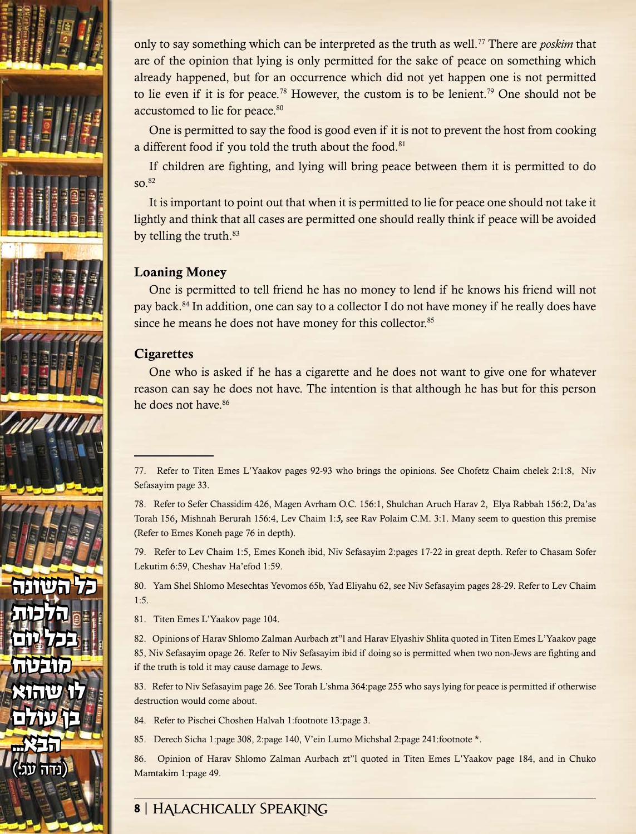

only to say something which can be interpreted as the truth as well.77 There are *poskim* that are of the opinion that lying is only permitted for the sake of peace on something which already happened, but for an occurrence which did not yet happen one is not permitted to lie even if it is for peace.<sup>78</sup> However, the custom is to be lenient.<sup>79</sup> One should not be accustomed to lie for peace.<sup>80</sup>

One is permitted to say the food is good even if it is not to prevent the host from cooking a different food if you told the truth about the food.<sup>81</sup>

If children are fighting, and lying will bring peace between them it is permitted to do so.82

It is important to point out that when it is permitted to lie for peace one should not take it lightly and think that all cases are permitted one should really think if peace will be avoided by telling the truth.<sup>83</sup>

# Loaning Money

One is permitted to tell friend he has no money to lend if he knows his friend will not pay back.84 In addition, one can say to a collector I do not have money if he really does have since he means he does not have money for this collector.<sup>85</sup>

# **Cigarettes**

One who is asked if he has a cigarette and he does not want to give one for whatever reason can say he does not have. The intention is that although he has but for this person he does not have.<sup>86</sup>

79. Refer to Lev Chaim 1:5, Emes Koneh ibid, Niv Sefasayim 2:pages 17-22 in great depth. Refer to Chasam Sofer Lekutim 6:59, Cheshav Ha'efod 1:59.

80. Yam Shel Shlomo Mesechtas Yevomos 65b, Yad Eliyahu 62, see Niv Sefasayim pages 28-29. Refer to Lev Chaim 1:5.

81. Titen Emes L'Yaakov page 104.

82. Opinions of Harav Shlomo Zalman Aurbach zt"l and Harav Elyashiv Shlita quoted in Titen Emes L'Yaakov page 85, Niv Sefasayim opage 26. Refer to Niv Sefasayim ibid if doing so is permitted when two non-Jews are fighting and if the truth is told it may cause damage to Jews.

83. Refer to Niv Sefasayim page 26. See Torah L'shma 364:page 255 who says lying for peace is permitted if otherwise destruction would come about.

84. Refer to Pischei Choshen Halvah 1:footnote 13:page 3.

85. Derech Sicha 1:page 308, 2:page 140, V'ein Lumo Michshal 2:page 241:footnote \*.

86. Opinion of Harav Shlomo Zalman Aurbach zt"l quoted in Titen Emes L'Yaakov page 184, and in Chuko Mamtakim 1:page 49.

<sup>77.</sup> Refer to Titen Emes L'Yaakov pages 92-93 who brings the opinions. See Chofetz Chaim chelek 2:1:8, Niv Sefasayim page 33.

<sup>78.</sup> Refer to Sefer Chassidim 426, Magen Avrham O.C. 156:1, Shulchan Aruch Harav 2, Elya Rabbah 156:2, Da'as Torah 156, Mishnah Berurah 156:4, Lev Chaim 1:*5,* see Rav Polaim C.M. 3:1. Many seem to question this premise (Refer to Emes Koneh page 76 in depth).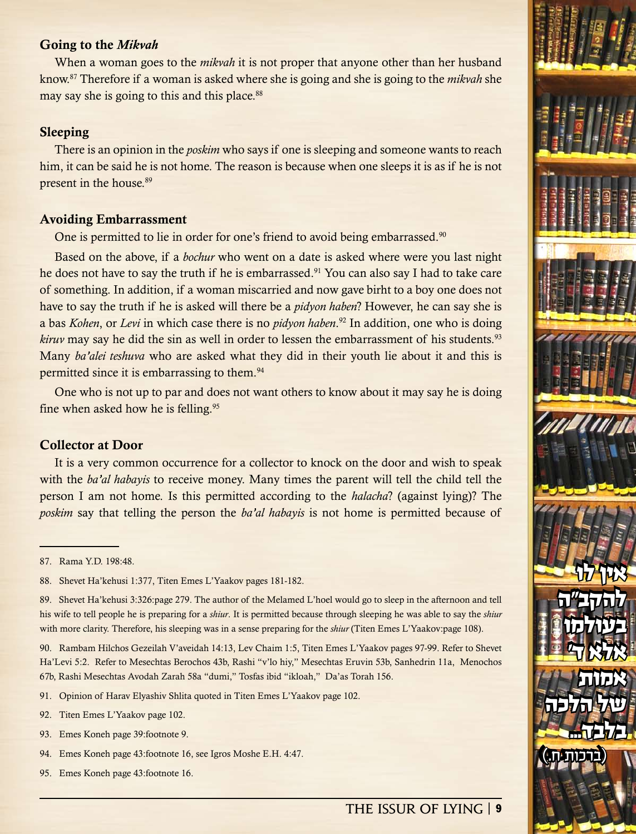#### Going to the *Mikvah*

When a woman goes to the *mikvah* it is not proper that anyone other than her husband know.87 Therefore if a woman is asked where she is going and she is going to the *mikvah* she may say she is going to this and this place.<sup>88</sup>

#### Sleeping

There is an opinion in the *poskim* who says if one is sleeping and someone wants to reach him, it can be said he is not home. The reason is because when one sleeps it is as if he is not present in the house.<sup>89</sup>

#### Avoiding Embarrassment

One is permitted to lie in order for one's friend to avoid being embarrassed.<sup>90</sup>

Based on the above, if a *bochur* who went on a date is asked where were you last night he does not have to say the truth if he is embarrassed.<sup>91</sup> You can also say I had to take care of something. In addition, if a woman miscarried and now gave birht to a boy one does not have to say the truth if he is asked will there be a *pidyon haben*? However, he can say she is a bas *Kohen*, or *Levi* in which case there is no *pidyon haben*. 92 In addition, one who is doing *kiruv* may say he did the sin as well in order to lessen the embarrassment of his students.<sup>93</sup> Many *ba'alei teshuva* who are asked what they did in their youth lie about it and this is permitted since it is embarrassing to them.94

One who is not up to par and does not want others to know about it may say he is doing fine when asked how he is felling.<sup>95</sup>

#### Collector at Door

It is a very common occurrence for a collector to knock on the door and wish to speak with the *ba'al habayis* to receive money. Many times the parent will tell the child tell the person I am not home. Is this permitted according to the *halacha*? (against lying)? The *poskim* say that telling the person the *ba'al habayis* is not home is permitted because of

89. Shevet Ha'kehusi 3:326:page 279. The author of the Melamed L'hoel would go to sleep in the afternoon and tell his wife to tell people he is preparing for a *shiur*. It is permitted because through sleeping he was able to say the *shiur* with more clarity. Therefore, his sleeping was in a sense preparing for the *shiur* (Titen Emes L'Yaakov:page 108).

90. Rambam Hilchos Gezeilah V'aveidah 14:13, Lev Chaim 1:5, Titen Emes L'Yaakov pages 97-99. Refer to Shevet Ha'Levi 5:2. Refer to Mesechtas Berochos 43b, Rashi "v'lo hiy," Mesechtas Eruvin 53b, Sanhedrin 11a, Menochos 67b, Rashi Mesechtas Avodah Zarah 58a "dumi," Tosfas ibid "ikloah," Da'as Torah 156.

- 91. Opinion of Harav Elyashiv Shlita quoted in Titen Emes L'Yaakov page 102.
- 92. Titen Emes L'Yaakov page 102.
- 93. Emes Koneh page 39:footnote 9.
- 94. Emes Koneh page 43:footnote 16, see Igros Moshe E.H. 4:47.
- 95. Emes Koneh page 43:footnote 16.



<sup>87.</sup> Rama Y.D. 198:48.

<sup>88.</sup> Shevet Ha'kehusi 1:377, Titen Emes L'Yaakov pages 181-182.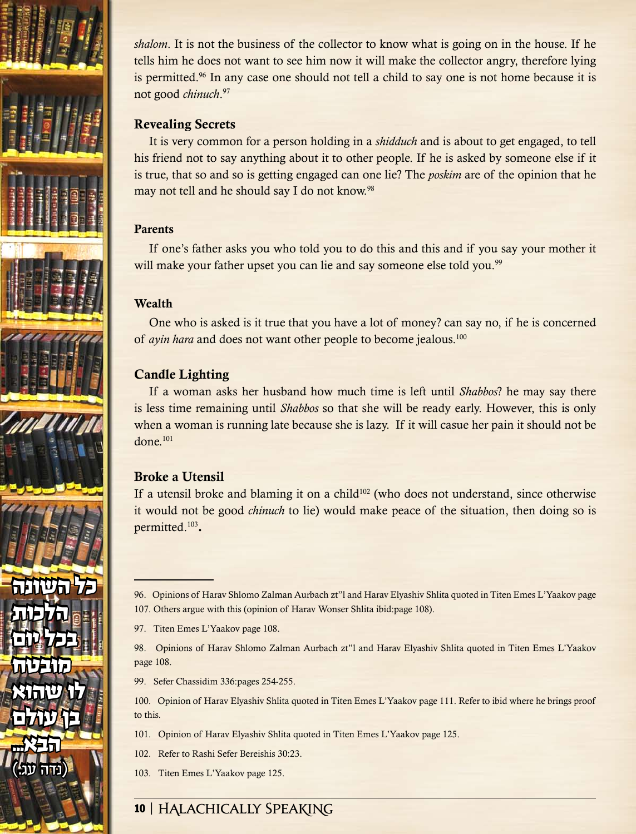

*shalom*. It is not the business of the collector to know what is going on in the house. If he tells him he does not want to see him now it will make the collector angry, therefore lying is permitted.96 In any case one should not tell a child to say one is not home because it is not good *chinuch*. 97

# Revealing Secrets

It is very common for a person holding in a *shidduch* and is about to get engaged, to tell his friend not to say anything about it to other people. If he is asked by someone else if it is true, that so and so is getting engaged can one lie? The *poskim* are of the opinion that he may not tell and he should say I do not know.<sup>98</sup>

# Parents

If one's father asks you who told you to do this and this and if you say your mother it will make your father upset you can lie and say someone else told you.<sup>99</sup>

# Wealth

One who is asked is it true that you have a lot of money? can say no, if he is concerned of *ayin hara* and does not want other people to become jealous.100

# Candle Lighting

If a woman asks her husband how much time is left until *Shabbos*? he may say there is less time remaining until *Shabbos* so that she will be ready early. However, this is only when a woman is running late because she is lazy. If it will casue her pain it should not be done.101

# Broke a Utensil

If a utensil broke and blaming it on a child<sup>102</sup> (who does not understand, since otherwise it would not be good *chinuch* to lie) would make peace of the situation, then doing so is permitted.103.

97. Titen Emes L'Yaakov page 108.

98. Opinions of Harav Shlomo Zalman Aurbach zt"l and Harav Elyashiv Shlita quoted in Titen Emes L'Yaakov page 108.

99. Sefer Chassidim 336:pages 254-255.

100. Opinion of Harav Elyashiv Shlita quoted in Titen Emes L'Yaakov page 111. Refer to ibid where he brings proof to this.

- 101. Opinion of Harav Elyashiv Shlita quoted in Titen Emes L'Yaakov page 125.
- 102. Refer to Rashi Sefer Bereishis 30:23.
- 103. Titen Emes L'Yaakov page 125.

<sup>96.</sup> Opinions of Harav Shlomo Zalman Aurbach zt"l and Harav Elyashiv Shlita quoted in Titen Emes L'Yaakov page 107. Others argue with this (opinion of Harav Wonser Shlita ibid:page 108).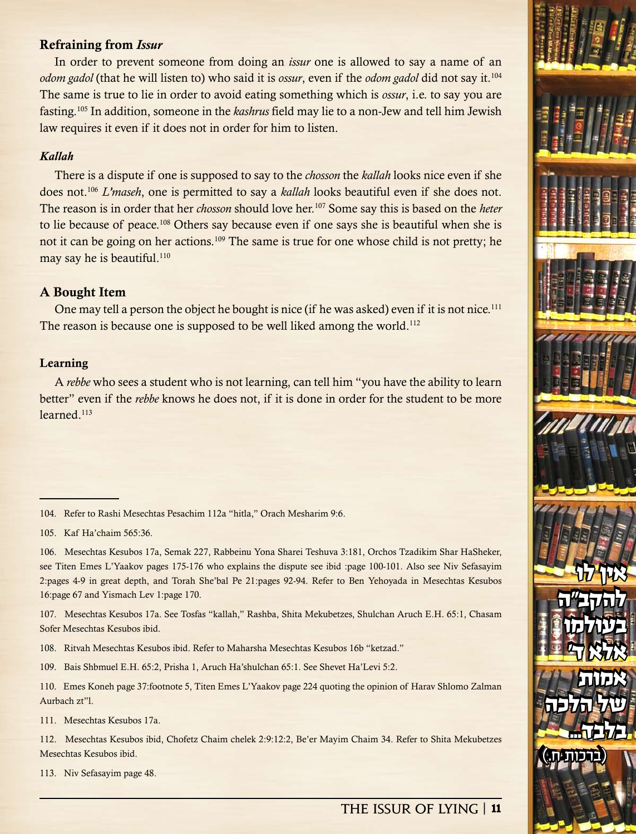## Refraining from *Issur*

In order to prevent someone from doing an *issur* one is allowed to say a name of an *odom gadol* (that he will listen to) who said it is *ossur*, even if the *odom gadol* did not say it.104 The same is true to lie in order to avoid eating something which is *ossur*, i.e. to say you are fasting.105 In addition, someone in the *kashrus* field may lie to a non-Jew and tell him Jewish law requires it even if it does not in order for him to listen.

#### *Kallah*

There is a dispute if one is supposed to say to the *chosson* the *kallah* looks nice even if she does not.106 *L'maseh*, one is permitted to say a *kallah* looks beautiful even if she does not. The reason is in order that her *chosson* should love her.107 Some say this is based on the *heter* to lie because of peace.108 Others say because even if one says she is beautiful when she is not it can be going on her actions.<sup>109</sup> The same is true for one whose child is not pretty; he may say he is beautiful.<sup>110</sup>

#### A Bought Item

One may tell a person the object he bought is nice (if he was asked) even if it is not nice.<sup>111</sup> The reason is because one is supposed to be well liked among the world.<sup>112</sup>

#### Learning

A *rebbe* who sees a student who is not learning, can tell him "you have the ability to learn better" even if the *rebbe* knows he does not, if it is done in order for the student to be more learned.113

107. Mesechtas Kesubos 17a. See Tosfas "kallah," Rashba, Shita Mekubetzes, Shulchan Aruch E.H. 65:1, Chasam Sofer Mesechtas Kesubos ibid.

108. Ritvah Mesechtas Kesubos ibid. Refer to Maharsha Mesechtas Kesubos 16b "ketzad."

109. Bais Shbmuel E.H. 65:2, Prisha 1, Aruch Ha'shulchan 65:1. See Shevet Ha'Levi 5:2.

110. Emes Koneh page 37:footnote 5, Titen Emes L'Yaakov page 224 quoting the opinion of Harav Shlomo Zalman Aurbach zt"l.

111. Mesechtas Kesubos 17a.

112. Mesechtas Kesubos ibid, Chofetz Chaim chelek 2:9:12:2, Be'er Mayim Chaim 34. Refer to Shita Mekubetzes Mesechtas Kesubos ibid.

113. Niv Sefasayim page 48.

# **The Issur of Lying** | 11

אין לו

אין לו

להקב"ה

להקב"ה

בעולמו

בעולמו

 $T$ 

אלא ד'

של הלכה

של הלכה

 $\textcolor{blue}{\textbf{(}}$ 

)ברכות ח.(

אמות

אמות

בלבד...

<sup>104.</sup> Refer to Rashi Mesechtas Pesachim 112a "hitla," Orach Mesharim 9:6.

<sup>105.</sup> Kaf Ha'chaim 565:36.

<sup>106.</sup> Mesechtas Kesubos 17a, Semak 227, Rabbeinu Yona Sharei Teshuva 3:181, Orchos Tzadikim Shar HaSheker, see Titen Emes L'Yaakov pages 175-176 who explains the dispute see ibid :page 100-101. Also see Niv Sefasayim 2:pages 4-9 in great depth, and Torah She'bal Pe 21:pages 92-94. Refer to Ben Yehoyada in Mesechtas Kesubos 16:page 67 and Yismach Lev 1:page 170.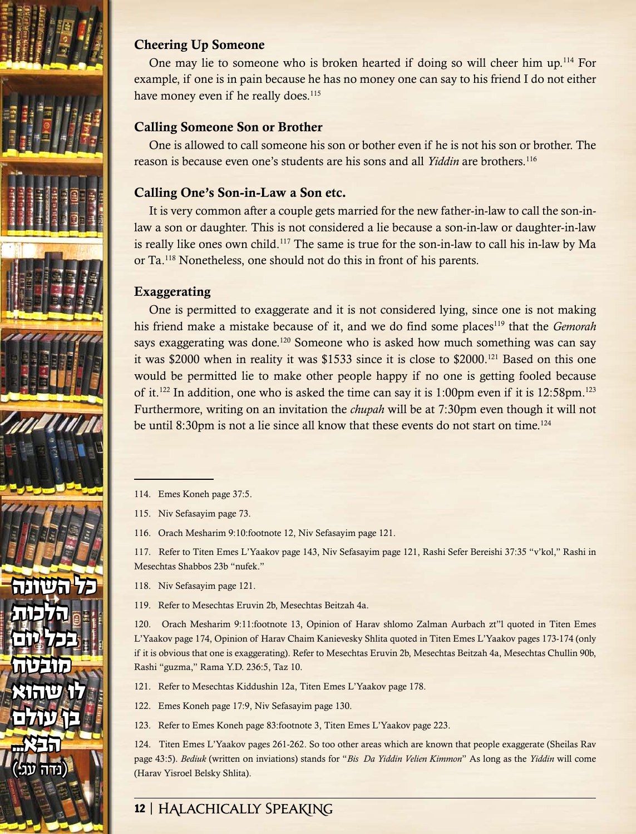

# Cheering Up Someone

One may lie to someone who is broken hearted if doing so will cheer him up.114 For example, if one is in pain because he has no money one can say to his friend I do not either have money even if he really does.<sup>115</sup>

# Calling Someone Son or Brother

One is allowed to call someone his son or bother even if he is not his son or brother. The reason is because even one's students are his sons and all *Yiddin* are brothers.116

# Calling One's Son-in-Law a Son etc.

It is very common after a couple gets married for the new father-in-law to call the son-inlaw a son or daughter. This is not considered a lie because a son-in-law or daughter-in-law is really like ones own child.<sup>117</sup> The same is true for the son-in-law to call his in-law by Ma or Ta.118 Nonetheless, one should not do this in front of his parents.

# Exaggerating

One is permitted to exaggerate and it is not considered lying, since one is not making his friend make a mistake because of it, and we do find some places119 that the *Gemorah* says exaggerating was done.120 Someone who is asked how much something was can say it was \$2000 when in reality it was \$1533 since it is close to \$2000.121 Based on this one would be permitted lie to make other people happy if no one is getting fooled because of it.122 In addition, one who is asked the time can say it is 1:00pm even if it is 12:58pm.123 Furthermore, writing on an invitation the *chupah* will be at 7:30pm even though it will not be until 8:30pm is not a lie since all know that these events do not start on time.<sup>124</sup>

115. Niv Sefasayim page 73.

116. Orach Mesharim 9:10:footnote 12, Niv Sefasayim page 121.

117. Refer to Titen Emes L'Yaakov page 143, Niv Sefasayim page 121, Rashi Sefer Bereishi 37:35 "v'kol," Rashi in Mesechtas Shabbos 23b "nufek."

- 118. Niv Sefasayim page 121.
- 119. Refer to Mesechtas Eruvin 2b, Mesechtas Beitzah 4a.

120. Orach Mesharim 9:11:footnote 13, Opinion of Harav shlomo Zalman Aurbach zt"l quoted in Titen Emes L'Yaakov page 174, Opinion of Harav Chaim Kanievesky Shlita quoted in Titen Emes L'Yaakov pages 173-174 (only if it is obvious that one is exaggerating). Refer to Mesechtas Eruvin 2b, Mesechtas Beitzah 4a, Mesechtas Chullin 90b, Rashi "guzma," Rama Y.D. 236:5, Taz 10.

- 121. Refer to Mesechtas Kiddushin 12a, Titen Emes L'Yaakov page 178.
- 122. Emes Koneh page 17:9, Niv Sefasayim page 130.
- 123. Refer to Emes Koneh page 83:footnote 3, Titen Emes L'Yaakov page 223.

124. Titen Emes L'Yaakov pages 261-262. So too other areas which are known that people exaggerate (Sheilas Rav page 43:5). *Bediuk* (written on inviations) stands for "*Bis Da Yiddin Velien Kimmon*" As long as the *Yiddin* will come (Harav Yisroel Belsky Shlita).

<sup>114.</sup> Emes Koneh page 37:5.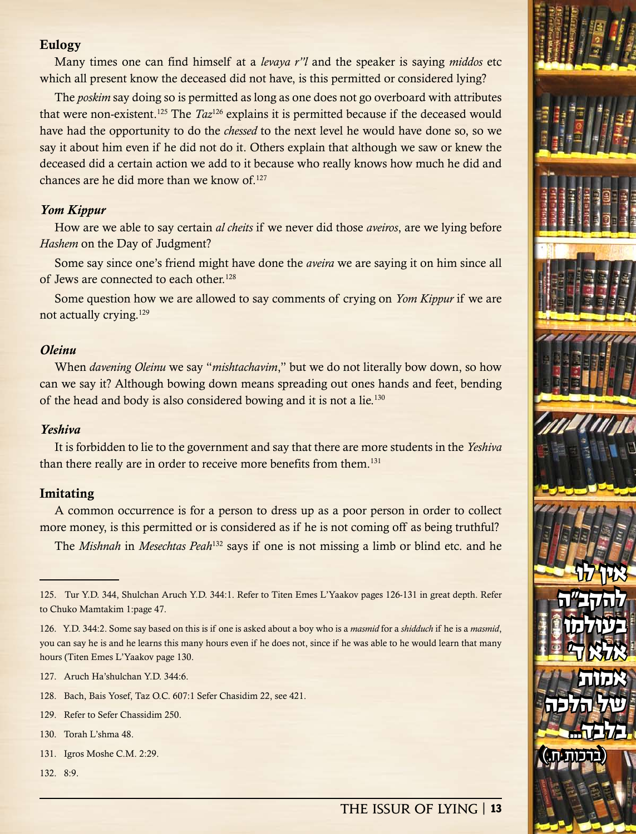## Eulogy

Many times one can find himself at a *levaya r"l* and the speaker is saying *middos* etc which all present know the deceased did not have, is this permitted or considered lying?

The *poskim* say doing so is permitted as long as one does not go overboard with attributes that were non-existent.125 The *Taz*126 explains it is permitted because if the deceased would have had the opportunity to do the *chessed* to the next level he would have done so, so we say it about him even if he did not do it. Others explain that although we saw or knew the deceased did a certain action we add to it because who really knows how much he did and chances are he did more than we know of.127

#### *Yom Kippur*

How are we able to say certain *al cheits* if we never did those *aveiros*, are we lying before *Hashem* on the Day of Judgment?

Some say since one's friend might have done the *aveira* we are saying it on him since all of Jews are connected to each other.<sup>128</sup>

Some question how we are allowed to say comments of crying on *Yom Kippur* if we are not actually crying.129

# *Oleinu*

When *davening Oleinu* we say "*mishtachavim*," but we do not literally bow down, so how can we say it? Although bowing down means spreading out ones hands and feet, bending of the head and body is also considered bowing and it is not a lie.<sup>130</sup>

#### *Yeshiva*

It is forbidden to lie to the government and say that there are more students in the *Yeshiva* than there really are in order to receive more benefits from them.131

#### Imitating

A common occurrence is for a person to dress up as a poor person in order to collect more money, is this permitted or is considered as if he is not coming off as being truthful?

The *Mishnah* in *Mesechtas Peah*132 says if one is not missing a limb or blind etc. and he

- 128. Bach, Bais Yosef, Taz O.C. 607:1 Sefer Chasidim 22, see 421.
- 129. Refer to Sefer Chassidim 250.
- 130. Torah L'shma 48.
- 131. Igros Moshe C.M. 2:29.
- 132. 8:9.

# **The Issur of Lying** | 13

אין לו

אין לו

להקב"ה

להקב"ה

בעולמו

בעולמו

 $T$ 

אלא ד'

של הלכה

של הלכה

 $\textcolor{blue}{\textbf{(}}$ 

)ברכות ח.(

אמות

אמות

בלבד...

<sup>125.</sup> Tur Y.D. 344, Shulchan Aruch Y.D. 344:1. Refer to Titen Emes L'Yaakov pages 126-131 in great depth. Refer to Chuko Mamtakim 1:page 47.

<sup>126.</sup> Y.D. 344:2. Some say based on this is if one is asked about a boy who is a *masmid* for a *shidduch* if he is a *masmid*, you can say he is and he learns this many hours even if he does not, since if he was able to he would learn that many hours (Titen Emes L'Yaakov page 130.

<sup>127.</sup> Aruch Ha'shulchan Y.D. 344:6.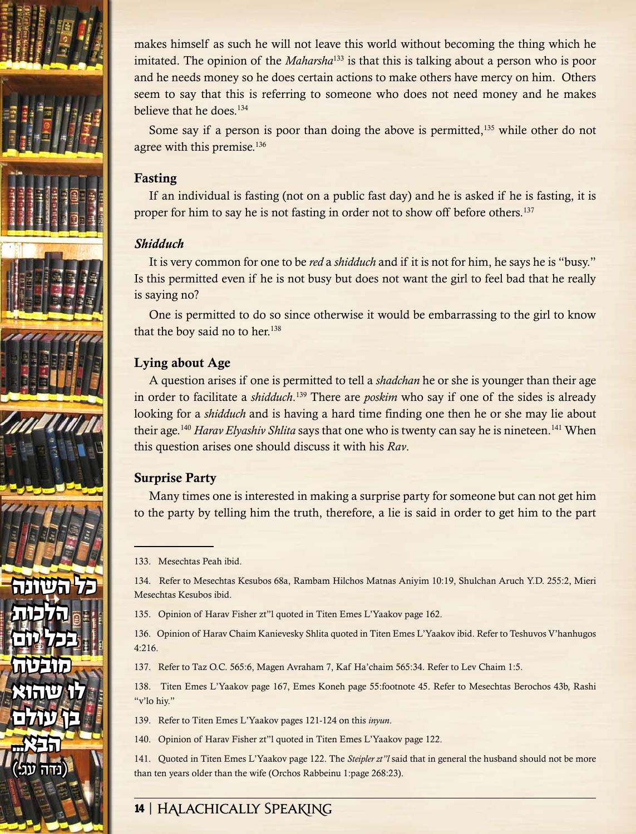

makes himself as such he will not leave this world without becoming the thing which he imitated. The opinion of the *Maharsha*133 is that this is talking about a person who is poor and he needs money so he does certain actions to make others have mercy on him. Others seem to say that this is referring to someone who does not need money and he makes believe that he does.<sup>134</sup>

Some say if a person is poor than doing the above is permitted, $135$  while other do not agree with this premise.<sup>136</sup>

# Fasting

If an individual is fasting (not on a public fast day) and he is asked if he is fasting, it is proper for him to say he is not fasting in order not to show off before others.137

## *Shidduch*

It is very common for one to be *red* a *shidduch* and if it is not for him, he says he is "busy." Is this permitted even if he is not busy but does not want the girl to feel bad that he really is saying no?

One is permitted to do so since otherwise it would be embarrassing to the girl to know that the boy said no to her.<sup>138</sup>

# Lying about Age

A question arises if one is permitted to tell a *shadchan* he or she is younger than their age in order to facilitate a *shidduch*. 139 There are *poskim* who say if one of the sides is already looking for a *shidduch* and is having a hard time finding one then he or she may lie about their age.<sup>140</sup> *Harav Elyashiv Shlita* says that one who is twenty can say he is nineteen.<sup>141</sup> When this question arises one should discuss it with his *Rav*.

# Surprise Party

Many times one is interested in making a surprise party for someone but can not get him to the party by telling him the truth, therefore, a lie is said in order to get him to the part

134. Refer to Mesechtas Kesubos 68a, Rambam Hilchos Matnas Aniyim 10:19, Shulchan Aruch Y.D. 255:2, Mieri Mesechtas Kesubos ibid.

135. Opinion of Harav Fisher zt"l quoted in Titen Emes L'Yaakov page 162.

136. Opinion of Harav Chaim Kanievesky Shlita quoted in Titen Emes L'Yaakov ibid. Refer to Teshuvos V'hanhugos 4:216.

137. Refer to Taz O.C. 565:6, Magen Avraham 7, Kaf Ha'chaim 565:34. Refer to Lev Chaim 1:5.

138. Titen Emes L'Yaakov page 167, Emes Koneh page 55:footnote 45. Refer to Mesechtas Berochos 43b, Rashi "v'lo hiy."

- 139. Refer to Titen Emes L'Yaakov pages 121-124 on this *inyun*.
- 140. Opinion of Harav Fisher zt"l quoted in Titen Emes L'Yaakov page 122.

141. Quoted in Titen Emes L'Yaakov page 122. The *Steipler zt"l* said that in general the husband should not be more than ten years older than the wife (Orchos Rabbeinu 1:page 268:23).

<sup>133.</sup> Mesechtas Peah ibid.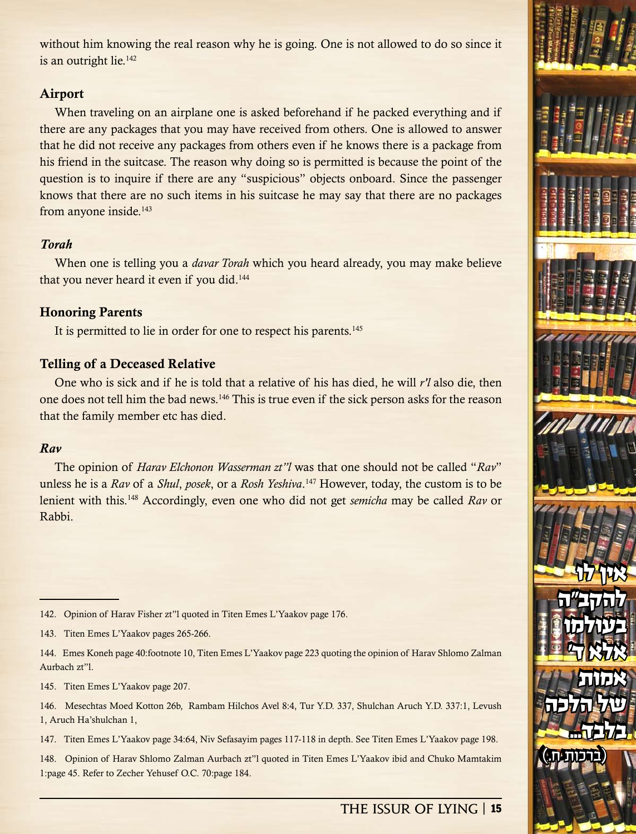without him knowing the real reason why he is going. One is not allowed to do so since it is an outright lie.<sup>142</sup>

# Airport

When traveling on an airplane one is asked beforehand if he packed everything and if there are any packages that you may have received from others. One is allowed to answer that he did not receive any packages from others even if he knows there is a package from his friend in the suitcase. The reason why doing so is permitted is because the point of the question is to inquire if there are any "suspicious" objects onboard. Since the passenger knows that there are no such items in his suitcase he may say that there are no packages from anyone inside.<sup>143</sup>

# *Torah*

When one is telling you a *davar Torah* which you heard already, you may make believe that you never heard it even if you did.<sup>144</sup>

# Honoring Parents

It is permitted to lie in order for one to respect his parents.<sup>145</sup>

# Telling of a Deceased Relative

One who is sick and if he is told that a relative of his has died, he will *r'l* also die, then one does not tell him the bad news.146 This is true even if the sick person asks for the reason that the family member etc has died.

# *Rav*

The opinion of *Harav Elchonon Wasserman zt"l* was that one should not be called "*Rav*" unless he is a *Rav* of a *Shul*, *posek*, or a *Rosh Yeshiva*. 147 However, today, the custom is to be lenient with this.148 Accordingly, even one who did not get *semicha* may be called *Rav* or Rabbi.

144. Emes Koneh page 40:footnote 10, Titen Emes L'Yaakov page 223 quoting the opinion of Harav Shlomo Zalman Aurbach zt"l.

145. Titen Emes L'Yaakov page 207.

146. Mesechtas Moed Kotton 26b, Rambam Hilchos Avel 8:4, Tur Y.D. 337, Shulchan Aruch Y.D. 337:1, Levush 1, Aruch Ha'shulchan 1,

147. Titen Emes L'Yaakov page 34:64, Niv Sefasayim pages 117-118 in depth. See Titen Emes L'Yaakov page 198.

148. Opinion of Harav Shlomo Zalman Aurbach zt"l quoted in Titen Emes L'Yaakov ibid and Chuko Mamtakim 1:page 45. Refer to Zecher Yehusef O.C. 70:page 184.



<sup>142.</sup> Opinion of Harav Fisher zt"l quoted in Titen Emes L'Yaakov page 176.

<sup>143.</sup> Titen Emes L'Yaakov pages 265-266.